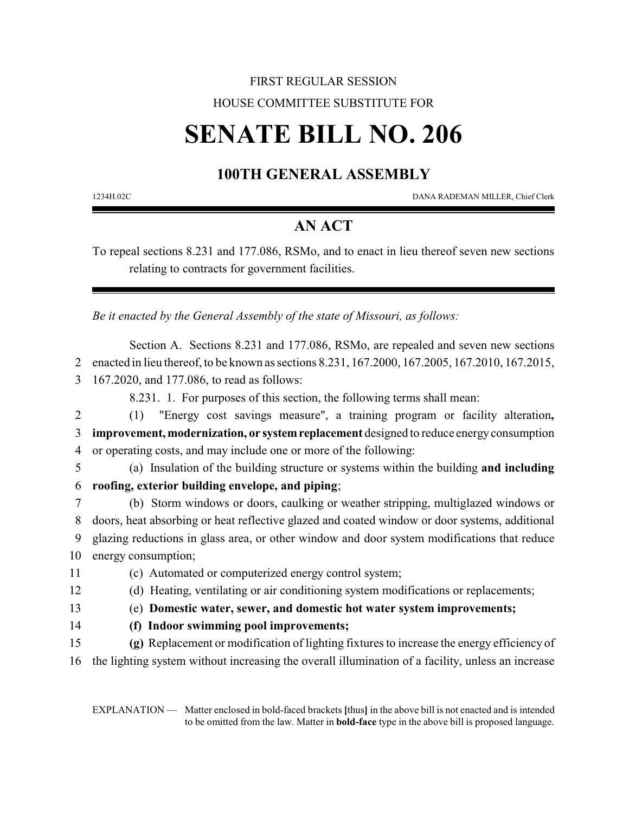## FIRST REGULAR SESSION HOUSE COMMITTEE SUBSTITUTE FOR

# **SENATE BILL NO. 206**

## **100TH GENERAL ASSEMBLY**

1234H.02C DANA RADEMAN MILLER, Chief Clerk

## **AN ACT**

To repeal sections 8.231 and 177.086, RSMo, and to enact in lieu thereof seven new sections relating to contracts for government facilities.

*Be it enacted by the General Assembly of the state of Missouri, as follows:*

Section A. Sections 8.231 and 177.086, RSMo, are repealed and seven new sections 2 enacted in lieu thereof, to be known as sections 8.231, 167.2000, 167.2005, 167.2010, 167.2015, 3 167.2020, and 177.086, to read as follows:

8.231. 1. For purposes of this section, the following terms shall mean:

2 (1) "Energy cost savings measure", a training program or facility alteration**,** 3 **improvement, modernization, or systemreplacement** designed to reduce energyconsumption 4 or operating costs, and may include one or more of the following:

5 (a) Insulation of the building structure or systems within the building **and including** 6 **roofing, exterior building envelope, and piping**;

 (b) Storm windows or doors, caulking or weather stripping, multiglazed windows or doors, heat absorbing or heat reflective glazed and coated window or door systems, additional glazing reductions in glass area, or other window and door system modifications that reduce energy consumption;

- 11 (c) Automated or computerized energy control system;
- 12 (d) Heating, ventilating or air conditioning system modifications or replacements;
- 13 (e) **Domestic water, sewer, and domestic hot water system improvements;**
- 14 **(f) Indoor swimming pool improvements;**

15 **(g)** Replacement or modification of lighting fixtures to increase the energy efficiency of 16 the lighting system without increasing the overall illumination of a facility, unless an increase

EXPLANATION — Matter enclosed in bold-faced brackets **[**thus**]** in the above bill is not enacted and is intended to be omitted from the law. Matter in **bold-face** type in the above bill is proposed language.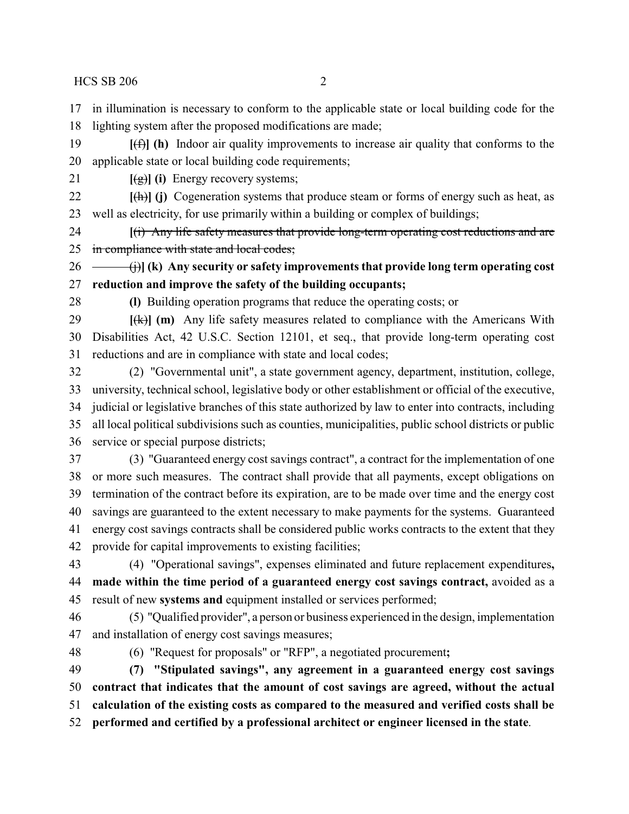in illumination is necessary to conform to the applicable state or local building code for the

lighting system after the proposed modifications are made;

 **[**(f)**] (h)** Indoor air quality improvements to increase air quality that conforms to the applicable state or local building code requirements;

**[**(g)**] (i)** Energy recovery systems;

 **[**(h)**] (j)** Cogeneration systems that produce steam or forms of energy such as heat, as well as electricity, for use primarily within a building or complex of buildings;

 **[**(i) Any life safety measures that provide long-term operating cost reductions and are 25 in compliance with state and local codes;

 (j)**] (k) Any security or safety improvements that provide long term operating cost reduction and improve the safety of the building occupants;**

**(l)** Building operation programs that reduce the operating costs; or

 **[**(k)**] (m)** Any life safety measures related to compliance with the Americans With Disabilities Act, 42 U.S.C. Section 12101, et seq., that provide long-term operating cost reductions and are in compliance with state and local codes;

 (2) "Governmental unit", a state government agency, department, institution, college, university, technical school, legislative body or other establishment or official of the executive, judicial or legislative branches of this state authorized by law to enter into contracts, including all local political subdivisions such as counties, municipalities, public school districts or public service or special purpose districts;

 (3) "Guaranteed energy cost savings contract", a contract for the implementation of one or more such measures. The contract shall provide that all payments, except obligations on termination of the contract before its expiration, are to be made over time and the energy cost savings are guaranteed to the extent necessary to make payments for the systems. Guaranteed energy cost savings contracts shall be considered public works contracts to the extent that they provide for capital improvements to existing facilities;

 (4) "Operational savings", expenses eliminated and future replacement expenditures**, made within the time period of a guaranteed energy cost savings contract,** avoided as a result of new **systems and** equipment installed or services performed;

 (5) "Qualified provider", a person or business experienced in the design, implementation and installation of energy cost savings measures;

(6) "Request for proposals" or "RFP", a negotiated procurement**;**

 **(7) "Stipulated savings", any agreement in a guaranteed energy cost savings contract that indicates that the amount of cost savings are agreed, without the actual calculation of the existing costs as compared to the measured and verified costs shall be**

**performed and certified by a professional architect or engineer licensed in the state**.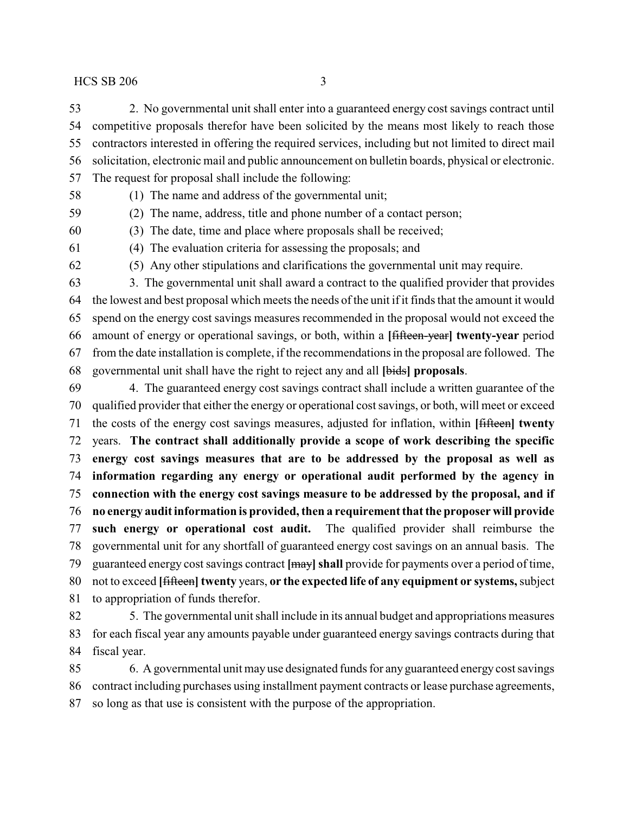2. No governmental unit shall enter into a guaranteed energy cost savings contract until competitive proposals therefor have been solicited by the means most likely to reach those contractors interested in offering the required services, including but not limited to direct mail solicitation, electronic mail and public announcement on bulletin boards, physical or electronic. The request for proposal shall include the following:

 (1) The name and address of the governmental unit; (2) The name, address, title and phone number of a contact person;

(3) The date, time and place where proposals shall be received;

(4) The evaluation criteria for assessing the proposals; and

(5) Any other stipulations and clarifications the governmental unit may require.

 3. The governmental unit shall award a contract to the qualified provider that provides the lowest and best proposal which meets the needs of the unit if it finds that the amount it would spend on the energy cost savings measures recommended in the proposal would not exceed the amount of energy or operational savings, or both, within a **[**fifteen-year**] twenty-year** period from the date installation is complete, if the recommendations in the proposal are followed. The governmental unit shall have the right to reject any and all **[**bids**] proposals**.

 4. The guaranteed energy cost savings contract shall include a written guarantee of the qualified provider that either the energy or operational cost savings, or both, will meet or exceed the costs of the energy cost savings measures, adjusted for inflation, within **[**fifteen**] twenty** years. **The contract shall additionally provide a scope of work describing the specific energy cost savings measures that are to be addressed by the proposal as well as information regarding any energy or operational audit performed by the agency in connection with the energy cost savings measure to be addressed by the proposal, and if no energy audit information is provided, then a requirement that the proposer will provide such energy or operational cost audit.** The qualified provider shall reimburse the governmental unit for any shortfall of guaranteed energy cost savings on an annual basis. The guaranteed energy cost savings contract **[**may**]shall** provide for payments over a period of time, not to exceed **[**fifteen**] twenty** years, **or the expected life of any equipment or systems,**subject to appropriation of funds therefor.

 5. The governmental unit shall include in its annual budget and appropriations measures for each fiscal year any amounts payable under guaranteed energy savings contracts during that fiscal year.

 6. A governmental unit may use designated funds for any guaranteed energy cost savings contract including purchases using installment payment contracts or lease purchase agreements, so long as that use is consistent with the purpose of the appropriation.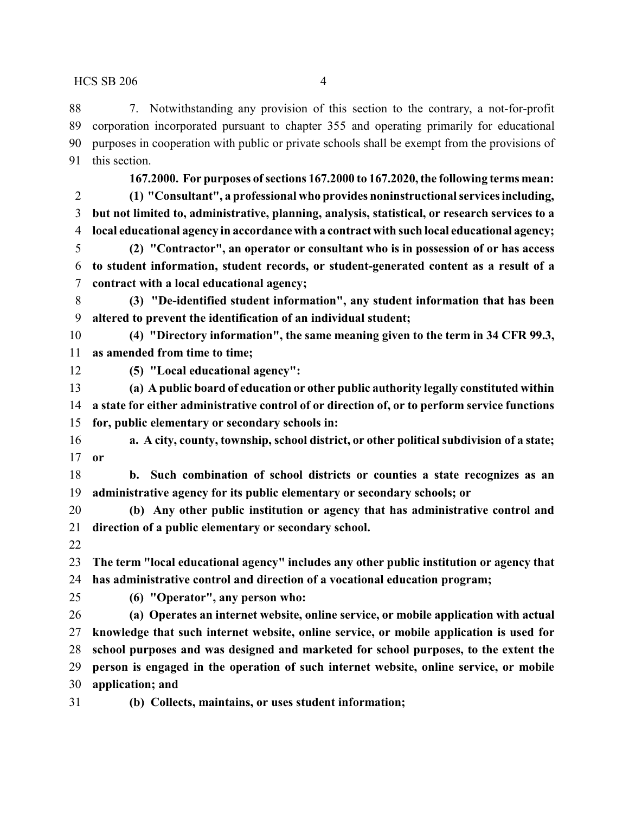7. Notwithstanding any provision of this section to the contrary, a not-for-profit corporation incorporated pursuant to chapter 355 and operating primarily for educational purposes in cooperation with public or private schools shall be exempt from the provisions of this section.

- **167.2000. For purposes ofsections 167.2000 to 167.2020, the following terms mean: (1) "Consultant", a professional who provides noninstructional services including, but not limited to, administrative, planning, analysis, statistical, or research services to a local educational agency in accordance with a contract with such local educational agency;**
- **(2) "Contractor", an operator or consultant who is in possession of or has access to student information, student records, or student-generated content as a result of a contract with a local educational agency;**
- **(3) "De-identified student information", any student information that has been altered to prevent the identification of an individual student;**
- **(4) "Directory information", the same meaning given to the term in 34 CFR 99.3, as amended from time to time;**
- 

**(5) "Local educational agency":**

- **(a) A public board of education or other public authority legally constituted within a state for either administrative control of or direction of, or to perform service functions for, public elementary or secondary schools in:**
- **a. A city, county, township, school district, or other political subdivision of a state; or**
- **b. Such combination of school districts or counties a state recognizes as an administrative agency for its public elementary or secondary schools; or**
- **(b) Any other public institution or agency that has administrative control and direction of a public elementary or secondary school.**
- 
- **The term "local educational agency" includes any other public institution or agency that has administrative control and direction of a vocational education program;**
- 

**(6) "Operator", any person who:**

- **(a) Operates an internet website, online service, or mobile application with actual knowledge that such internet website, online service, or mobile application is used for school purposes and was designed and marketed for school purposes, to the extent the person is engaged in the operation of such internet website, online service, or mobile application; and**
- 
- **(b) Collects, maintains, or uses student information;**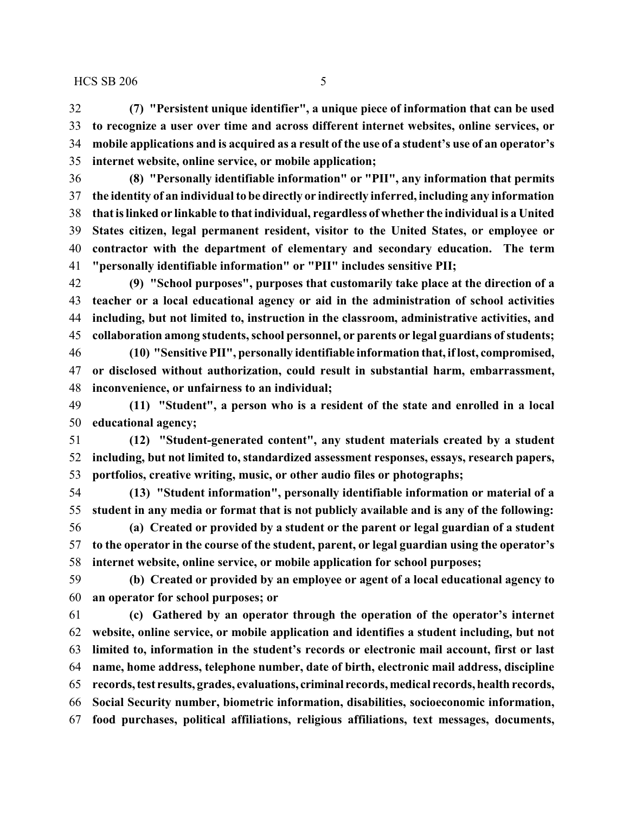**(7) "Persistent unique identifier", a unique piece of information that can be used to recognize a user over time and across different internet websites, online services, or mobile applications and is acquired as a result of the use of a student's use of an operator's internet website, online service, or mobile application;**

 **(8) "Personally identifiable information" or "PII", any information that permits the identity of an individual to be directly or indirectly inferred, including any information that is linked or linkable to that individual, regardless of whether the individual is a United States citizen, legal permanent resident, visitor to the United States, or employee or contractor with the department of elementary and secondary education. The term "personally identifiable information" or "PII" includes sensitive PII;**

 **(9) "School purposes", purposes that customarily take place at the direction of a teacher or a local educational agency or aid in the administration of school activities including, but not limited to, instruction in the classroom, administrative activities, and collaboration among students, school personnel, or parents or legal guardians ofstudents;**

 **(10) "Sensitive PII", personally identifiable information that, iflost, compromised, or disclosed without authorization, could result in substantial harm, embarrassment, inconvenience, or unfairness to an individual;**

 **(11) "Student", a person who is a resident of the state and enrolled in a local educational agency;**

 **(12) "Student-generated content", any student materials created by a student including, but not limited to, standardized assessment responses, essays, research papers, portfolios, creative writing, music, or other audio files or photographs;**

 **(13) "Student information", personally identifiable information or material of a student in any media or format that is not publicly available and is any of the following:**

 **(a) Created or provided by a student or the parent or legal guardian of a student to the operator in the course of the student, parent, or legal guardian using the operator's internet website, online service, or mobile application for school purposes;**

 **(b) Created or provided by an employee or agent of a local educational agency to an operator for school purposes; or**

 **(c) Gathered by an operator through the operation of the operator's internet website, online service, or mobile application and identifies a student including, but not limited to, information in the student's records or electronic mail account, first or last name, home address, telephone number, date of birth, electronic mail address, discipline records, test results, grades, evaluations, criminal records, medical records, health records, Social Security number, biometric information, disabilities, socioeconomic information, food purchases, political affiliations, religious affiliations, text messages, documents,**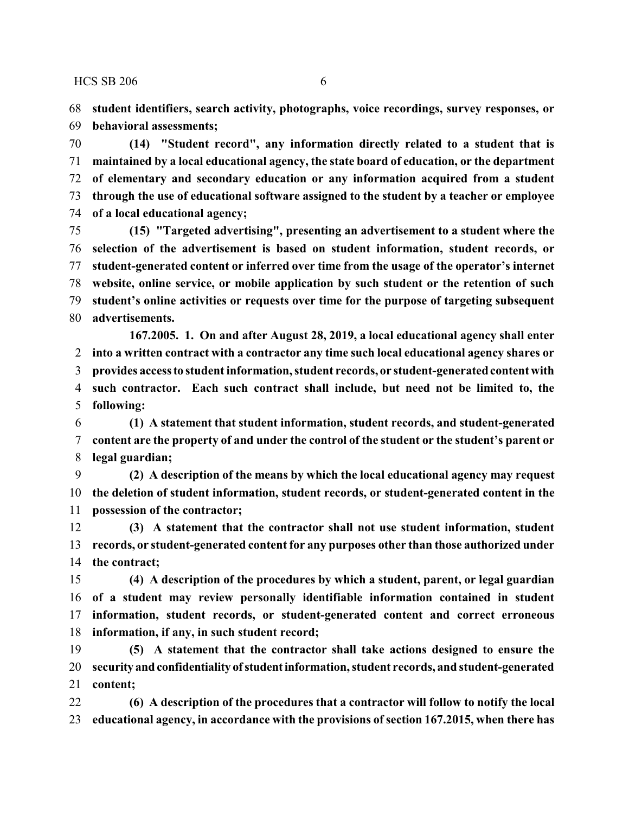**student identifiers, search activity, photographs, voice recordings, survey responses, or behavioral assessments;**

 **(14) "Student record", any information directly related to a student that is maintained by a local educational agency, the state board of education, or the department of elementary and secondary education or any information acquired from a student through the use of educational software assigned to the student by a teacher or employee of a local educational agency;**

 **(15) "Targeted advertising", presenting an advertisement to a student where the selection of the advertisement is based on student information, student records, or student-generated content or inferred over time from the usage of the operator's internet website, online service, or mobile application by such student or the retention of such student's online activities or requests over time for the purpose of targeting subsequent advertisements.**

**167.2005. 1. On and after August 28, 2019, a local educational agency shall enter into a written contract with a contractor any time such local educational agency shares or provides access to student information, student records, or student-generated content with such contractor. Each such contract shall include, but need not be limited to, the following:**

 **(1) A statement that student information, student records, and student-generated content are the property of and under the control of the student or the student's parent or legal guardian;**

 **(2) A description of the means by which the local educational agency may request the deletion of student information, student records, or student-generated content in the possession of the contractor;**

 **(3) A statement that the contractor shall not use student information, student records, or student-generated content for any purposes other than those authorized under the contract;**

 **(4) A description of the procedures by which a student, parent, or legal guardian of a student may review personally identifiable information contained in student information, student records, or student-generated content and correct erroneous information, if any, in such student record;**

 **(5) A statement that the contractor shall take actions designed to ensure the security andconfidentiality of studentinformation, student records, and student-generated content;**

 **(6) A description of the procedures that a contractor will follow to notify the local educational agency, in accordance with the provisions of section 167.2015, when there has**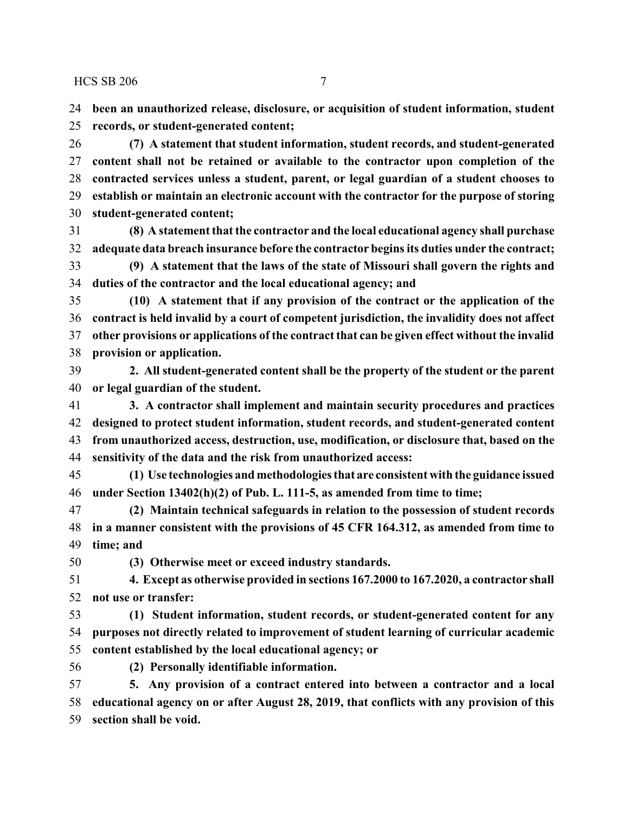**been an unauthorized release, disclosure, or acquisition of student information, student records, or student-generated content;**

 **(7) A statement that student information, student records, and student-generated content shall not be retained or available to the contractor upon completion of the contracted services unless a student, parent, or legal guardian of a student chooses to establish or maintain an electronic account with the contractor for the purpose of storing student-generated content;**

 **(8) A statement that the contractor and the local educational agency shall purchase adequate data breach insurance before the contractor begins its duties under the contract;**

 **(9) A statement that the laws of the state of Missouri shall govern the rights and duties of the contractor and the local educational agency; and**

 **(10) A statement that if any provision of the contract or the application of the contract is held invalid by a court of competent jurisdiction, the invalidity does not affect other provisions or applications of the contract that can be given effect without the invalid provision or application.**

 **2. All student-generated content shall be the property of the student or the parent or legal guardian of the student.**

 **3. A contractor shall implement and maintain security procedures and practices designed to protect student information, student records, and student-generated content from unauthorized access, destruction, use, modification, or disclosure that, based on the sensitivity of the data and the risk from unauthorized access:**

 **(1) Use technologies and methodologies that are consistent with the guidance issued under Section 13402(h)(2) of Pub. L. 111-5, as amended from time to time;**

 **(2) Maintain technical safeguards in relation to the possession of student records in a manner consistent with the provisions of 45 CFR 164.312, as amended from time to time; and**

**(3) Otherwise meet or exceed industry standards.**

 **4. Except as otherwise provided in sections 167.2000 to 167.2020, a contractor shall not use or transfer:**

 **(1) Student information, student records, or student-generated content for any purposes not directly related to improvement of student learning of curricular academic content established by the local educational agency; or**

**(2) Personally identifiable information.**

 **5. Any provision of a contract entered into between a contractor and a local educational agency on or after August 28, 2019, that conflicts with any provision of this section shall be void.**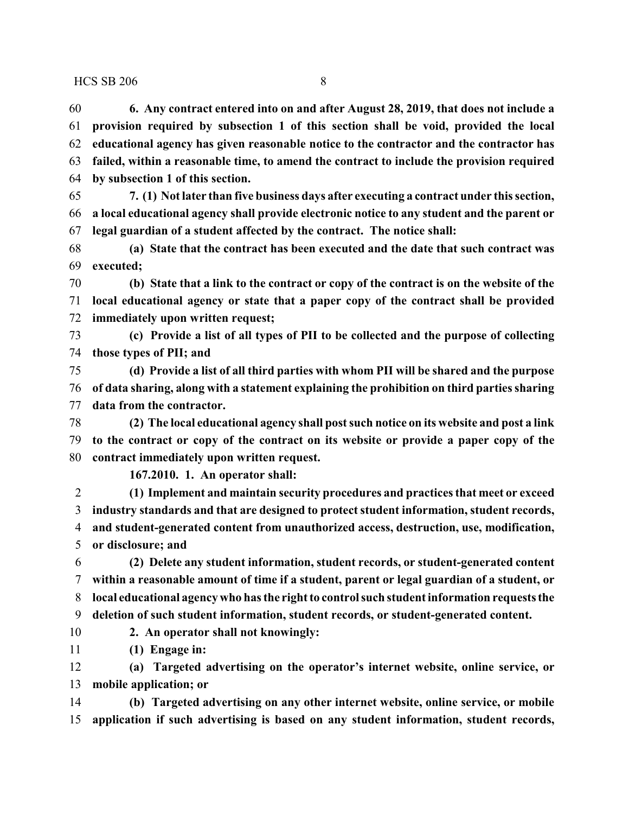**6. Any contract entered into on and after August 28, 2019, that does not include a provision required by subsection 1 of this section shall be void, provided the local educational agency has given reasonable notice to the contractor and the contractor has failed, within a reasonable time, to amend the contract to include the provision required by subsection 1 of this section.**

 **7. (1) Not later than five business days after executing a contract under this section, a local educational agency shall provide electronic notice to any student and the parent or legal guardian of a student affected by the contract. The notice shall:**

 **(a) State that the contract has been executed and the date that such contract was executed;**

 **(b) State that a link to the contract or copy of the contract is on the website of the local educational agency or state that a paper copy of the contract shall be provided immediately upon written request;**

 **(c) Provide a list of all types of PII to be collected and the purpose of collecting those types of PII; and**

 **(d) Provide a list of all third parties with whom PII will be shared and the purpose of data sharing, along with a statement explaining the prohibition on third parties sharing data from the contractor.**

 **(2) The local educational agency shall post such notice on its website and post a link to the contract or copy of the contract on its website or provide a paper copy of the contract immediately upon written request.**

**167.2010. 1. An operator shall:**

 **(1) Implement and maintain security procedures and practices that meet or exceed industry standards and that are designed to protect student information, student records, and student-generated content from unauthorized access, destruction, use, modification, or disclosure; and**

 **(2) Delete any student information, student records, or student-generated content within a reasonable amount of time if a student, parent or legal guardian of a student, or local educational agency who has the right to control such student information requests the deletion of such student information, student records, or student-generated content.**

**2. An operator shall not knowingly:**

**(1) Engage in:**

 **(a) Targeted advertising on the operator's internet website, online service, or mobile application; or**

 **(b) Targeted advertising on any other internet website, online service, or mobile application if such advertising is based on any student information, student records,**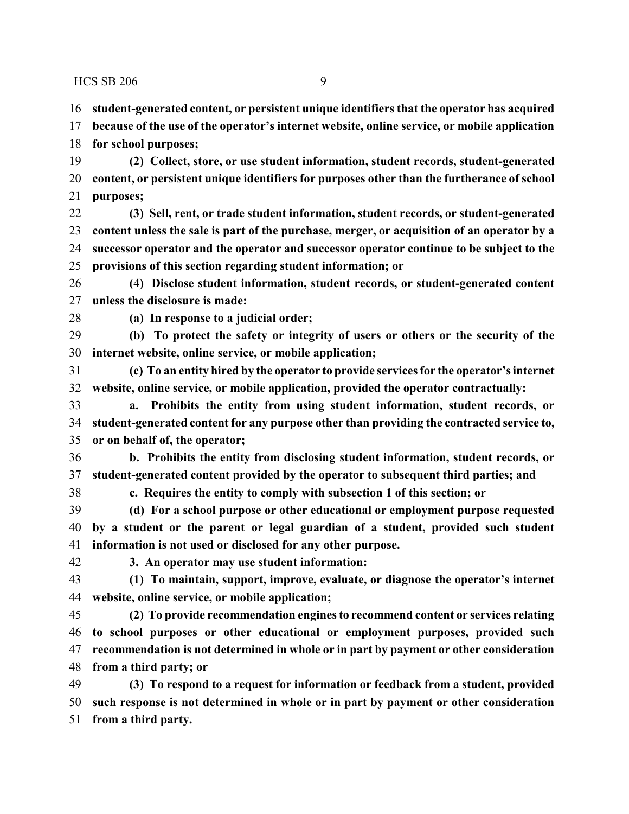**student-generated content, or persistent unique identifiers that the operator has acquired**

 **because of the use of the operator's internet website, online service, or mobile application for school purposes;**

 **(2) Collect, store, or use student information, student records, student-generated content, or persistent unique identifiers for purposes other than the furtherance of school purposes;**

 **(3) Sell, rent, or trade student information, student records, or student-generated content unless the sale is part of the purchase, merger, or acquisition of an operator by a successor operator and the operator and successor operator continue to be subject to the provisions of this section regarding student information; or**

 **(4) Disclose student information, student records, or student-generated content unless the disclosure is made:**

**(a) In response to a judicial order;**

 **(b) To protect the safety or integrity of users or others or the security of the internet website, online service, or mobile application;**

 **(c) To an entity hired by the operator to provide services for the operator's internet website, online service, or mobile application, provided the operator contractually:**

 **a. Prohibits the entity from using student information, student records, or student-generated content for any purpose other than providing the contracted service to, or on behalf of, the operator;**

 **b. Prohibits the entity from disclosing student information, student records, or student-generated content provided by the operator to subsequent third parties; and**

**c. Requires the entity to comply with subsection 1 of this section; or**

 **(d) For a school purpose or other educational or employment purpose requested by a student or the parent or legal guardian of a student, provided such student information is not used or disclosed for any other purpose.**

**3. An operator may use student information:**

 **(1) To maintain, support, improve, evaluate, or diagnose the operator's internet website, online service, or mobile application;**

 **(2) To provide recommendation engines to recommend content or services relating to school purposes or other educational or employment purposes, provided such recommendation is not determined in whole or in part by payment or other consideration from a third party; or**

 **(3) To respond to a request for information or feedback from a student, provided such response is not determined in whole or in part by payment or other consideration from a third party.**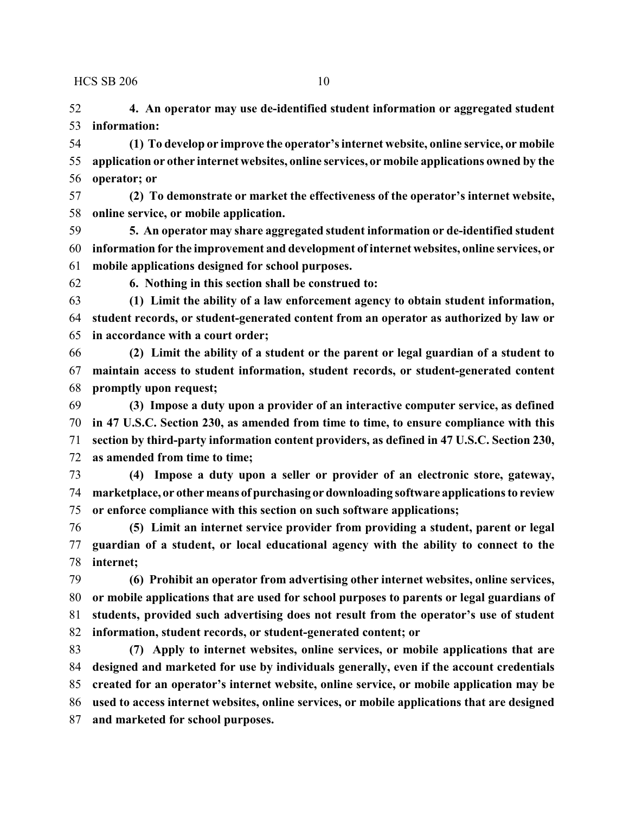**4. An operator may use de-identified student information or aggregated student information:**

 **(1) To develop or improve the operator's internet website, online service, or mobile application or other internet websites, online services, or mobile applications owned by the operator; or**

 **(2) To demonstrate or market the effectiveness of the operator's internet website, online service, or mobile application.**

 **5. An operator may share aggregated student information or de-identified student information for the improvement and development of internet websites, online services, or mobile applications designed for school purposes.**

**6. Nothing in this section shall be construed to:**

 **(1) Limit the ability of a law enforcement agency to obtain student information, student records, or student-generated content from an operator as authorized by law or in accordance with a court order;**

 **(2) Limit the ability of a student or the parent or legal guardian of a student to maintain access to student information, student records, or student-generated content promptly upon request;**

 **(3) Impose a duty upon a provider of an interactive computer service, as defined in 47 U.S.C. Section 230, as amended from time to time, to ensure compliance with this section by third-party information content providers, as defined in 47 U.S.C. Section 230, as amended from time to time;**

 **(4) Impose a duty upon a seller or provider of an electronic store, gateway, marketplace, or other means of purchasing ordownloading software applications to review or enforce compliance with this section on such software applications;**

 **(5) Limit an internet service provider from providing a student, parent or legal guardian of a student, or local educational agency with the ability to connect to the internet;**

 **(6) Prohibit an operator from advertising other internet websites, online services, or mobile applications that are used for school purposes to parents or legal guardians of students, provided such advertising does not result from the operator's use of student information, student records, or student-generated content; or**

 **(7) Apply to internet websites, online services, or mobile applications that are designed and marketed for use by individuals generally, even if the account credentials created for an operator's internet website, online service, or mobile application may be used to access internet websites, online services, or mobile applications that are designed and marketed for school purposes.**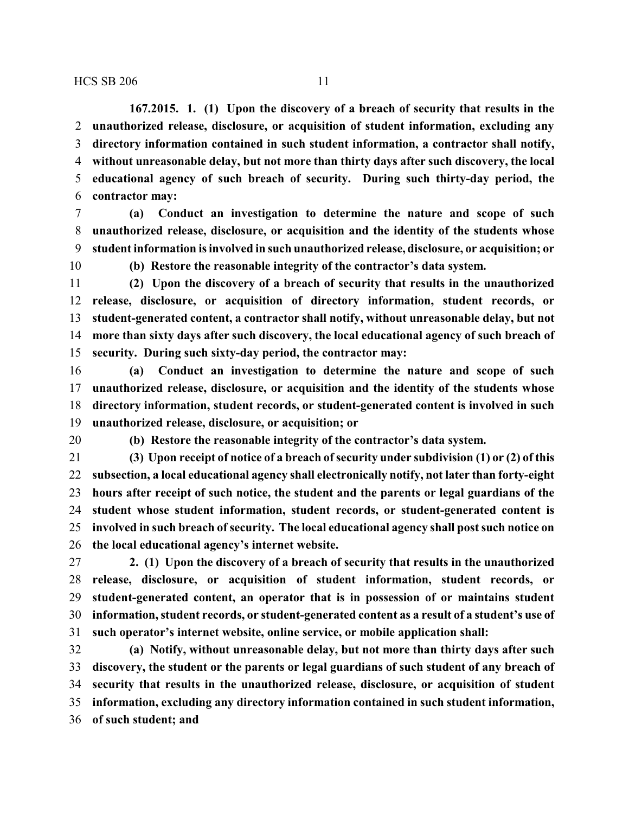**167.2015. 1. (1) Upon the discovery of a breach of security that results in the unauthorized release, disclosure, or acquisition of student information, excluding any directory information contained in such student information, a contractor shall notify, without unreasonable delay, but not more than thirty days after such discovery, the local educational agency of such breach of security. During such thirty-day period, the contractor may:**

 **(a) Conduct an investigation to determine the nature and scope of such unauthorized release, disclosure, or acquisition and the identity of the students whose student information is involved in such unauthorized release, disclosure, or acquisition; or**

**(b) Restore the reasonable integrity of the contractor's data system.**

 **(2) Upon the discovery of a breach of security that results in the unauthorized release, disclosure, or acquisition of directory information, student records, or student-generated content, a contractor shall notify, without unreasonable delay, but not more than sixty days after such discovery, the local educational agency of such breach of security. During such sixty-day period, the contractor may:**

 **(a) Conduct an investigation to determine the nature and scope of such unauthorized release, disclosure, or acquisition and the identity of the students whose directory information, student records, or student-generated content is involved in such unauthorized release, disclosure, or acquisition; or**

**(b) Restore the reasonable integrity of the contractor's data system.**

 **(3) Upon receipt of notice of a breach ofsecurity under subdivision (1) or (2) of this subsection, a local educational agency shall electronically notify, not later than forty-eight hours after receipt of such notice, the student and the parents or legal guardians of the student whose student information, student records, or student-generated content is involved in such breach of security. The local educational agency shall post such notice on the local educational agency's internet website.**

 **2. (1) Upon the discovery of a breach of security that results in the unauthorized release, disclosure, or acquisition of student information, student records, or student-generated content, an operator that is in possession of or maintains student information, student records, or student-generated content as a result of a student's use of such operator's internet website, online service, or mobile application shall:**

 **(a) Notify, without unreasonable delay, but not more than thirty days after such discovery, the student or the parents or legal guardians of such student of any breach of security that results in the unauthorized release, disclosure, or acquisition of student information, excluding any directory information contained in such student information, of such student; and**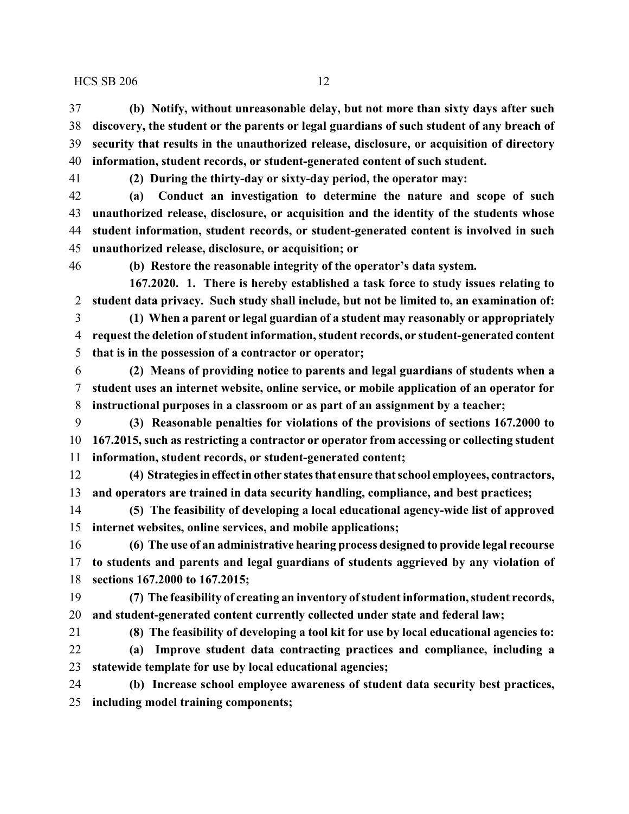**(b) Notify, without unreasonable delay, but not more than sixty days after such discovery, the student or the parents or legal guardians of such student of any breach of security that results in the unauthorized release, disclosure, or acquisition of directory information, student records, or student-generated content of such student.**

**(2) During the thirty-day or sixty-day period, the operator may:**

 **(a) Conduct an investigation to determine the nature and scope of such unauthorized release, disclosure, or acquisition and the identity of the students whose student information, student records, or student-generated content is involved in such unauthorized release, disclosure, or acquisition; or**

**(b) Restore the reasonable integrity of the operator's data system.**

**167.2020. 1. There is hereby established a task force to study issues relating to student data privacy. Such study shall include, but not be limited to, an examination of:**

 **(1) When a parent or legal guardian of a student may reasonably or appropriately request the deletion ofstudent information, student records, or student-generated content that is in the possession of a contractor or operator;**

 **(2) Means of providing notice to parents and legal guardians of students when a student uses an internet website, online service, or mobile application of an operator for instructional purposes in a classroom or as part of an assignment by a teacher;**

 **(3) Reasonable penalties for violations of the provisions of sections 167.2000 to 167.2015, such as restricting a contractor or operator from accessing or collecting student information, student records, or student-generated content;**

 **(4) Strategiesineffectin other states that ensure that school employees, contractors, and operators are trained in data security handling, compliance, and best practices;**

 **(5) The feasibility of developing a local educational agency-wide list of approved internet websites, online services, and mobile applications;**

 **(6) The use of an administrative hearing process designed to provide legal recourse to students and parents and legal guardians of students aggrieved by any violation of sections 167.2000 to 167.2015;**

 **(7) The feasibility of creating an inventory ofstudent information, student records, and student-generated content currently collected under state and federal law;**

**(8) The feasibility of developing a tool kit for use by local educational agencies to:**

 **(a) Improve student data contracting practices and compliance, including a statewide template for use by local educational agencies;**

 **(b) Increase school employee awareness of student data security best practices, including model training components;**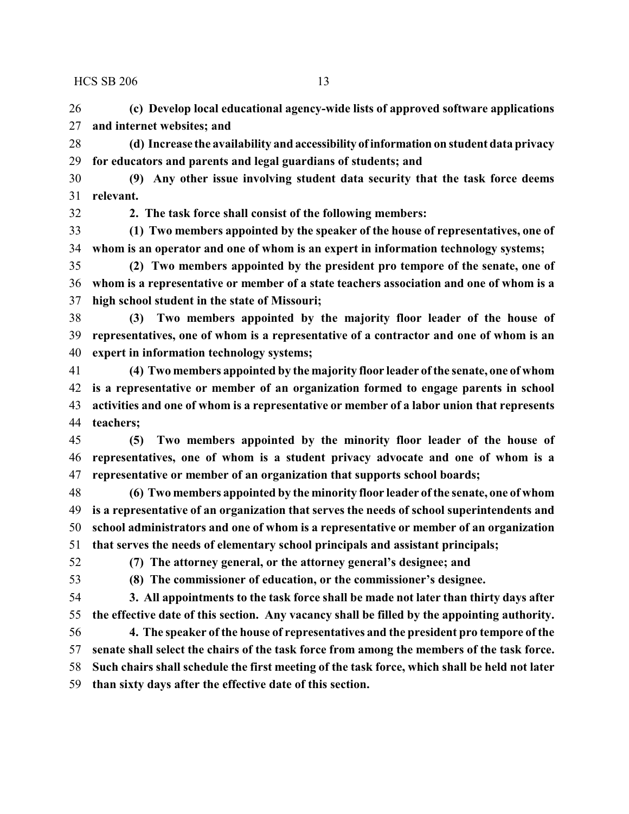**(c) Develop local educational agency-wide lists of approved software applications and internet websites; and**

 **(d) Increase the availability and accessibility of information on student data privacy for educators and parents and legal guardians of students; and**

 **(9) Any other issue involving student data security that the task force deems relevant.**

**2. The task force shall consist of the following members:**

 **(1) Two members appointed by the speaker of the house of representatives, one of whom is an operator and one of whom is an expert in information technology systems;**

 **(2) Two members appointed by the president pro tempore of the senate, one of whom is a representative or member of a state teachers association and one of whom is a high school student in the state of Missouri;**

 **(3) Two members appointed by the majority floor leader of the house of representatives, one of whom is a representative of a contractor and one of whom is an expert in information technology systems;**

 **(4) Two members appointed by the majority floor leader of the senate, one of whom is a representative or member of an organization formed to engage parents in school activities and one of whom is a representative or member of a labor union that represents teachers;**

 **(5) Two members appointed by the minority floor leader of the house of representatives, one of whom is a student privacy advocate and one of whom is a representative or member of an organization that supports school boards;**

 **(6) Two members appointed by the minority floor leader of the senate, one of whom is a representative of an organization that serves the needs of school superintendents and school administrators and one of whom is a representative or member of an organization that serves the needs of elementary school principals and assistant principals;**

**(7) The attorney general, or the attorney general's designee; and**

**(8) The commissioner of education, or the commissioner's designee.**

 **3. All appointments to the task force shall be made not later than thirty days after the effective date of this section. Any vacancy shall be filled by the appointing authority.**

 **4. The speaker of the house of representatives and the president pro tempore of the senate shall select the chairs of the task force from among the members of the task force. Such chairs shall schedule the first meeting of the task force, which shall be held not later**

**than sixty days after the effective date of this section.**